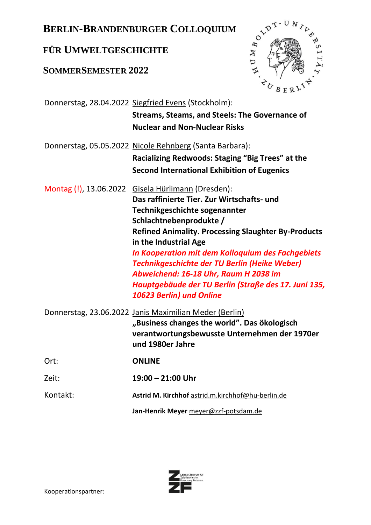# **FÜR UMWELTGESCHICHTE**

## **SOMMERSEMESTER 2022**



|          | Donnerstag, 28.04.2022 Siegfried Evens (Stockholm):                                 |
|----------|-------------------------------------------------------------------------------------|
|          | <b>Streams, Steams, and Steels: The Governance of</b>                               |
|          | <b>Nuclear and Non-Nuclear Risks</b>                                                |
|          | Donnerstag, 05.05.2022 Nicole Rehnberg (Santa Barbara):                             |
|          | Racializing Redwoods: Staging "Big Trees" at the                                    |
|          | <b>Second International Exhibition of Eugenics</b>                                  |
|          | Montag (!), 13.06.2022 Gisela Hürlimann (Dresden):                                  |
|          | Das raffinierte Tier. Zur Wirtschafts- und                                          |
|          | Technikgeschichte sogenannter                                                       |
|          | Schlachtnebenprodukte /                                                             |
|          | <b>Refined Animality. Processing Slaughter By-Products</b><br>in the Industrial Age |
|          | In Kooperation mit dem Kolloquium des Fachgebiets                                   |
|          | Technikgeschichte der TU Berlin (Heike Weber)                                       |
|          | Abweichend: 16-18 Uhr, Raum H 2038 im                                               |
|          | Hauptgebäude der TU Berlin (Straße des 17. Juni 135,                                |
|          | 10623 Berlin) und Online                                                            |
|          | Donnerstag, 23.06.2022 Janis Maximilian Meder (Berlin)                              |
|          | "Business changes the world". Das ökologisch                                        |
|          | verantwortungsbewusste Unternehmen der 1970er                                       |
|          | und 1980er Jahre                                                                    |
| Ort:     | <b>ONLINE</b>                                                                       |
| Zeit:    | 19:00 - 21:00 Uhr                                                                   |
| Kontakt: | Astrid M. Kirchhof astrid.m.kirchhof@hu-berlin.de                                   |
|          | Jan-Henrik Meyer meyer@zzf-potsdam.de                                               |

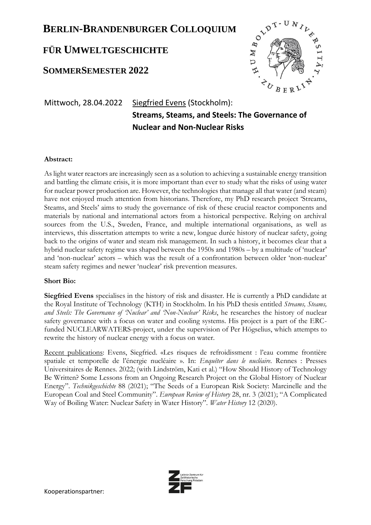### **FÜR UMWELTGESCHICHTE**

### **SOMMERSEMESTER 2022**



Mittwoch, 28.04.2022 Siegfried Evens (Stockholm): **Streams, Steams, and Steels: The Governance of Nuclear and Non-Nuclear Risks**

#### **Abstract:**

As light water reactors are increasingly seen as a solution to achieving a sustainable energy transition and battling the climate crisis, it is more important than ever to study what the risks of using water for nuclear power production are. However, the technologies that manage all that water (and steam) have not enjoyed much attention from historians. Therefore, my PhD research project 'Streams, Steams, and Steels' aims to study the governance of risk of these crucial reactor components and materials by national and international actors from a historical perspective. Relying on archival sources from the U.S., Sweden, France, and multiple international organisations, as well as interviews, this dissertation attempts to write a new, longue durée history of nuclear safety, going back to the origins of water and steam risk management. In such a history, it becomes clear that a hybrid nuclear safety regime was shaped between the 1950s and 1980s – by a multitude of 'nuclear' and 'non-nuclear' actors – which was the result of a confrontation between older 'non-nuclear' steam safety regimes and newer 'nuclear' risk prevention measures.

#### **Short Bio:**

**Siegfried Evens** specialises in the history of risk and disaster. He is currently a PhD candidate at the Royal Institute of Technology (KTH) in Stockholm. In his PhD thesis entitled *Streams, Steams, and Steels: The Governance of 'Nuclear' and 'Non-Nuclear' Risks*, he researches the history of nuclear safety governance with a focus on water and cooling systems. His project is a part of the ERCfunded NUCLEARWATERS-project, under the supervision of Per Högselius, which attempts to rewrite the history of nuclear energy with a focus on water.

Recent publications: Evens, Siegfried. «Les risques de refroidissment : l'eau comme frontière spatiale et temporelle de l'énergie nucléaire ». In: *Enquêter dans le nucléaire*. Rennes : Presses Universitaires de Rennes. 2022; (with Lindström, Kati et al.) "How Should History of Technology Be Written? Some Lessons from an Ongoing Research Project on the Global History of Nuclear Energy". *Technikgeschichte* 88 (2021); "The Seeds of a European Risk Society: Marcinelle and the European Coal and Steel Community". *European Review of History* 28, nr. 3 (2021); "A Complicated Way of Boiling Water: Nuclear Safety in Water History". *Water History* 12 (2020).

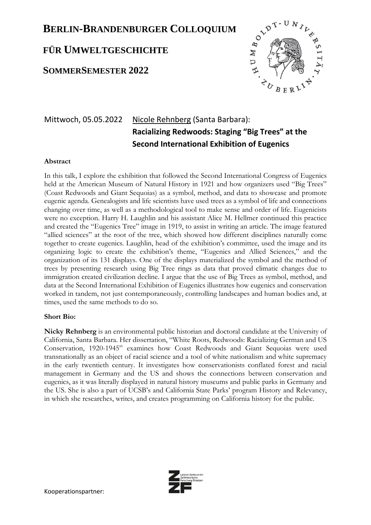### **FÜR UMWELTGESCHICHTE**

### **SOMMERSEMESTER 2022**



Mittwoch, 05.05.2022 Nicole Rehnberg (Santa Barbara): **Racializing Redwoods: Staging "Big Trees" at the Second International Exhibition of Eugenics**

#### **Abstract**

In this talk, I explore the exhibition that followed the Second International Congress of Eugenics held at the American Museum of Natural History in 1921 and how organizers used "Big Trees" (Coast Redwoods and Giant Sequoias) as a symbol, method, and data to showcase and promote eugenic agenda. Genealogists and life scientists have used trees as a symbol of life and connections changing over time, as well as a methodological tool to make sense and order of life. Eugenicists were no exception. Harry H. Laughlin and his assistant Alice M. Hellmer continued this practice and created the "Eugenics Tree" image in 1919, to assist in writing an article. The image featured "allied sciences" at the root of the tree, which showed how different disciplines naturally come together to create eugenics. Laughlin, head of the exhibition's committee, used the image and its organizing logic to create the exhibition's theme, "Eugenics and Allied Sciences," and the organization of its 131 displays. One of the displays materialized the symbol and the method of trees by presenting research using Big Tree rings as data that proved climatic changes due to immigration created civilization decline. I argue that the use of Big Trees as symbol, method, and data at the Second International Exhibition of Eugenics illustrates how eugenics and conservation worked in tandem, not just contemporaneously, controlling landscapes and human bodies and, at times, used the same methods to do so.

#### **Short Bio:**

**Nicky Rehnberg** is an environmental public historian and doctoral candidate at the University of California, Santa Barbara. Her dissertation, "White Roots, Redwoods: Racializing German and US Conservation, 1920-1945" examines how Coast Redwoods and Giant Sequoias were used transnationally as an object of racial science and a tool of white nationalism and white supremacy in the early twentieth century. It investigates how conservationists conflated forest and racial management in Germany and the US and shows the connections between conservation and eugenics, as it was literally displayed in natural history museums and public parks in Germany and the US. She is also a part of UCSB's and California State Parks' program History and Relevancy, in which she researches, writes, and creates programming on California history for the public.

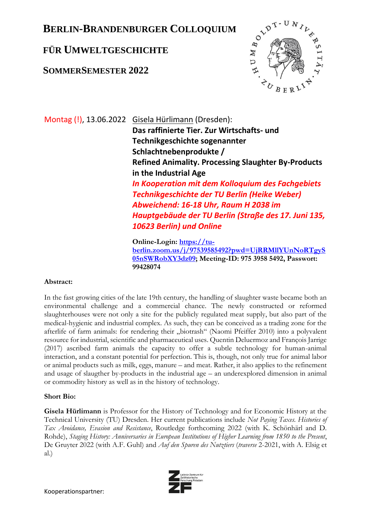## **FÜR UMWELTGESCHICHTE**

### **SOMMERSEMESTER 2022**



Montag (!), 13.06.2022 Gisela Hürlimann (Dresden): **Das raffinierte Tier. Zur Wirtschafts- und Technikgeschichte sogenannter Schlachtnebenprodukte / Refined Animality. Processing Slaughter By-Products in the Industrial Age** *In Kooperation mit dem Kolloquium des Fachgebiets Technikgeschichte der TU Berlin (Heike Weber) Abweichend: 16-18 Uhr, Raum H 2038 im Hauptgebäude der TU Berlin (Straße des 17. Juni 135, 10623 Berlin) und Online*

**Online-Login: [https://tu](https://tu-berlin.zoom.us/j/97539585492?pwd=UjRRMllYUnNoRTgyS05nSWRobXY3dz09)[berlin.zoom.us/j/97539585492?pwd=UjRRMllYUnNoRTgyS](https://tu-berlin.zoom.us/j/97539585492?pwd=UjRRMllYUnNoRTgyS05nSWRobXY3dz09) [05nSWRobXY3dz09;](https://tu-berlin.zoom.us/j/97539585492?pwd=UjRRMllYUnNoRTgyS05nSWRobXY3dz09) Meeting-ID: 975 3958 5492, Passwort: 99428074**

### **Abstract:**

In the fast growing cities of the late 19th century, the handling of slaughter waste became both an environmental challenge and a commercial chance. The newly constructed or reformed slaughterhouses were not only a site for the publicly regulated meat supply, but also part of the medical-hygienic and industrial complex. As such, they can be conceived as a trading zone for the afterlife of farm animals: for rendering their "biotrash" (Naomi Pfeiffer 2010) into a polyvalent resource for industrial, scientific and pharmaceutical uses. Quentin Deluermoz and François Jarrige (2017) ascribed farm animals the capacity to offer a subtle technology for human-animal interaction, and a constant potential for perfection. This is, though, not only true for animal labor or animal products such as milk, eggs, manure – and meat. Rather, it also applies to the refinement and usage of slaugther by-products in the industrial age – an underexplored dimension in animal or commodity history as well as in the history of technology.

### **Short Bio:**

**Gisela Hürlimann** is Professor for the History of Technology and for Economic History at the Technical University (TU) Dresden. Her current publications include *Not Paying Taxes. Histories of Tax Avoidance, Evasion and Resistance*, Routledge forthcoming 2022 (with K. Schönhärl and D. Rohde), *Staging History: Anniversaries in European Institutions of Higher Learning from 1850 to the Present*, De Gruyter 2022 (with A.F. Guhl) and *Auf den Spuren des Nutztiers* (*traverse* 2-2021, with A. Elsig et al.)